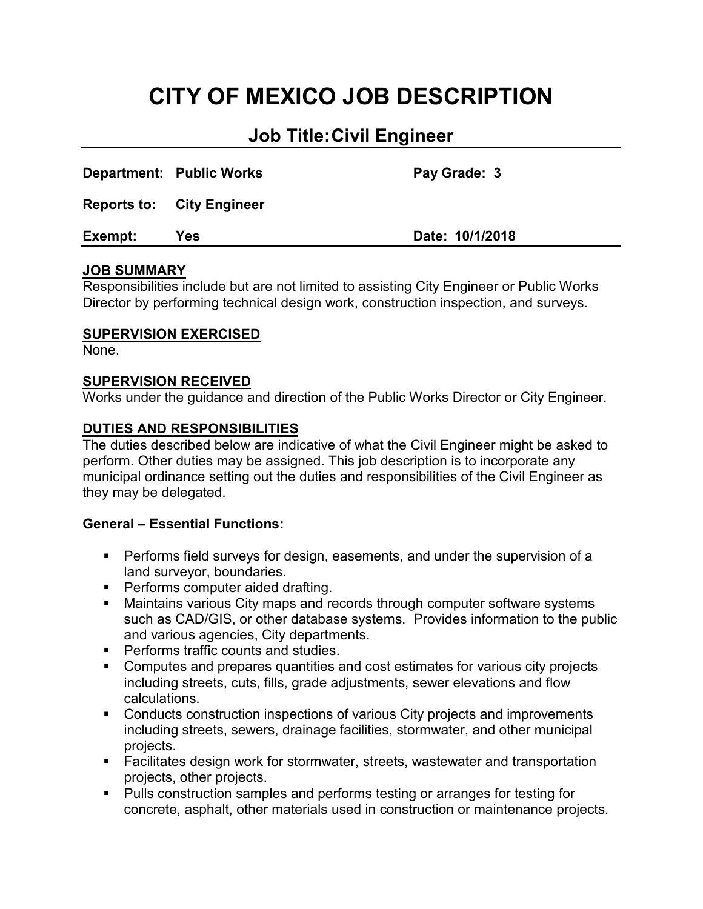# **CITY OF MEXICO JOB DESCRIPTION**

## **Job Title:Civil Engineer**

| Exempt: | Yes                              | Date: 10/1/2018 |
|---------|----------------------------------|-----------------|
|         | <b>Reports to: City Engineer</b> |                 |
|         | Department: Public Works         | Pay Grade: 3    |

#### **JOB SUMMARY**

Responsibilities include but are not limited to assisting City Engineer or Public Works Director by performing technical design work, construction inspection, and surveys.

#### **SUPERVISION EXERCISED**

None.

#### **SUPERVISION RECEIVED**

Works under the guidance and direction of the Public Works Director or City Engineer.

#### **DUTIES AND RESPONSIBILITIES**

The duties described below are indicative of what the Civil Engineer might be asked to perform. Other duties may be assigned. This job description is to incorporate any municipal ordinance setting out the duties and responsibilities of the Civil Engineer as they may be delegated.

#### **General – Essential Functions:**

- Performs field surveys for design, easements, and under the supervision of a land surveyor, boundaries.
- **Performs computer aided drafting.**
- **Maintains various City maps and records through computer software systems** such as CAD/GIS, or other database systems. Provides information to the public and various agencies, City departments.
- **Performs traffic counts and studies.**
- Computes and prepares quantities and cost estimates for various city projects including streets, cuts, fills, grade adjustments, sewer elevations and flow calculations.
- **Conducts construction inspections of various City projects and improvements** including streets, sewers, drainage facilities, stormwater, and other municipal projects.
- Facilitates design work for stormwater, streets, wastewater and transportation projects, other projects.
- **Pulls construction samples and performs testing or arranges for testing for** concrete, asphalt, other materials used in construction or maintenance projects.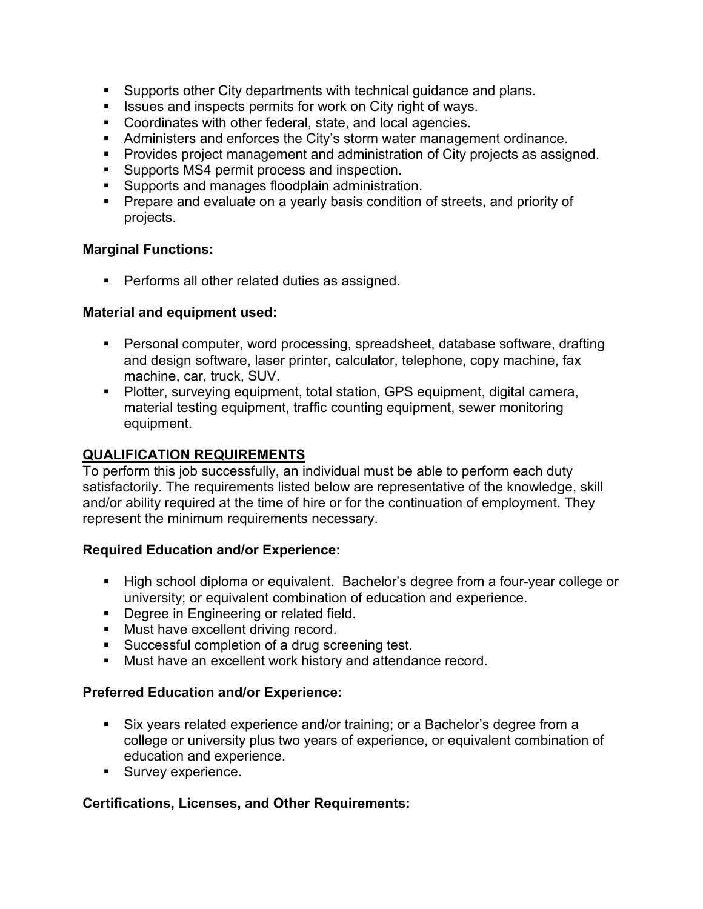- Supports other City departments with technical guidance and plans.
- **ISSUES and inspects permits for work on City right of ways.**
- **Coordinates with other federal, state, and local agencies.**
- Administers and enforces the City's storm water management ordinance.
- **Provides project management and administration of City projects as assigned.**
- **Supports MS4 permit process and inspection.**
- **Supports and manages floodplain administration.**
- **Prepare and evaluate on a yearly basis condition of streets, and priority of** projects.

#### **Marginal Functions:**

**Performs all other related duties as assigned.** 

#### **Material and equipment used:**

- Personal computer, word processing, spreadsheet, database software, drafting and design software, laser printer, calculator, telephone, copy machine, fax machine, car, truck, SUV.
- Plotter, surveying equipment, total station, GPS equipment, digital camera, material testing equipment, traffic counting equipment, sewer monitoring equipment.

#### **QUALIFICATION REQUIREMENTS**

To perform this job successfully, an individual must be able to perform each duty satisfactorily. The requirements listed below are representative of the knowledge, skill and/or ability required at the time of hire or for the continuation of employment. They represent the minimum requirements necessary.

#### **Required Education and/or Experience:**

- High school diploma or equivalent. Bachelor's degree from a four-year college or university; or equivalent combination of education and experience.
- **Degree in Engineering or related field.**
- **Must have excellent driving record.**
- **Successful completion of a drug screening test.**
- **Must have an excellent work history and attendance record.**

#### **Preferred Education and/or Experience:**

- Six years related experience and/or training; or a Bachelor's degree from a college or university plus two years of experience, or equivalent combination of education and experience.
- Survey experience.

#### **Certifications, Licenses, and Other Requirements:**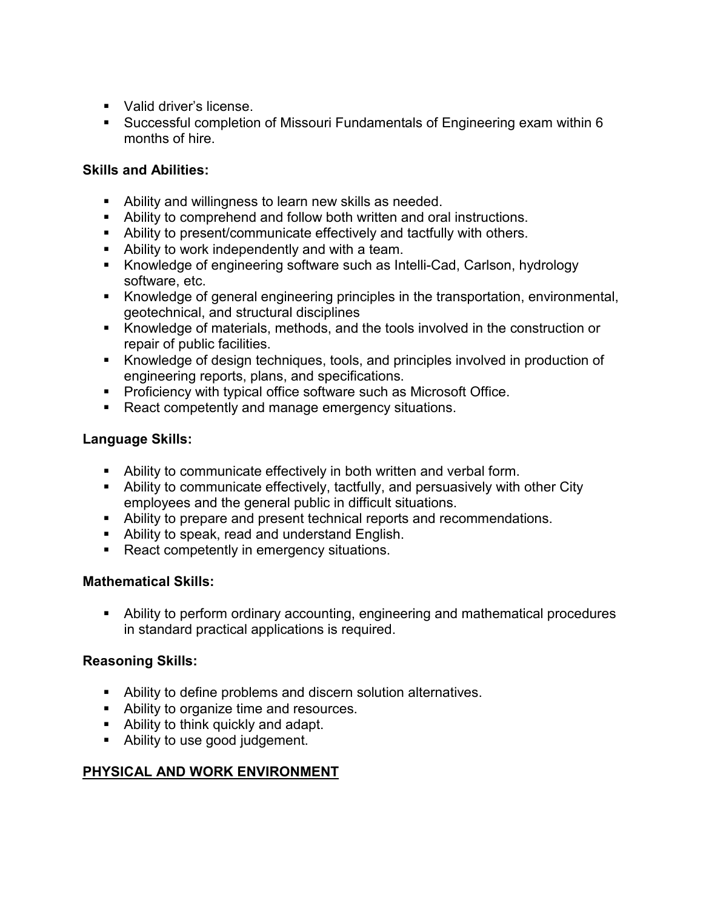- Valid driver's license
- Successful completion of Missouri Fundamentals of Engineering exam within 6 months of hire.

### **Skills and Abilities:**

- Ability and willingness to learn new skills as needed.
- Ability to comprehend and follow both written and oral instructions.
- Ability to present/communicate effectively and tactfully with others.
- Ability to work independently and with a team.
- Knowledge of engineering software such as Intelli-Cad, Carlson, hydrology software, etc.
- Knowledge of general engineering principles in the transportation, environmental, geotechnical, and structural disciplines
- Knowledge of materials, methods, and the tools involved in the construction or repair of public facilities.
- Knowledge of design techniques, tools, and principles involved in production of engineering reports, plans, and specifications.
- **Proficiency with typical office software such as Microsoft Office.**
- React competently and manage emergency situations.

#### **Language Skills:**

- Ability to communicate effectively in both written and verbal form.
- Ability to communicate effectively, tactfully, and persuasively with other City employees and the general public in difficult situations.
- Ability to prepare and present technical reports and recommendations.
- Ability to speak, read and understand English.
- React competently in emergency situations.

## **Mathematical Skills:**

 Ability to perform ordinary accounting, engineering and mathematical procedures in standard practical applications is required.

## **Reasoning Skills:**

- Ability to define problems and discern solution alternatives.
- **Ability to organize time and resources.**
- Ability to think quickly and adapt.
- **Ability to use good judgement.**

## **PHYSICAL AND WORK ENVIRONMENT**